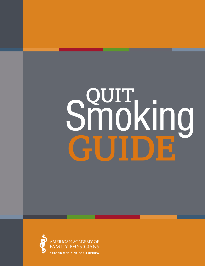# **SPUT**<br>Smoking GUIDE

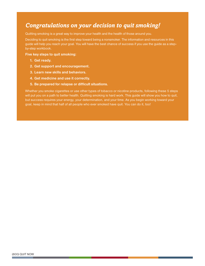#### *Congratulations on your decision to quit smoking!*

Quitting smoking is a great way to improve your health and the health of those around you.

Deciding to quit smoking is the first step toward being a nonsmoker. The information and resources in this guide will help you reach your goal. You will have the best chance of success if you use the guide as a stepby-step workbook.

**Five key steps to quit smoking:**

- **1. Get ready.**
- **2. Get support and encouragement.**
- **3. Learn new skills and behaviors.**
- **4. Get medicine and use it correctly.**
- **5. Be prepared for relapse or difficult situations.**

Whether you smoke cigarettes or use other types of tobacco or nicotine products, following these 5 steps will put you on a path to better health. Quitting smoking is hard work. This guide will show you how to quit, but success requires your energy, your determination, and your time. As you begin working toward your goal, keep in mind that half of all people who ever smoked have quit. You can do it, too!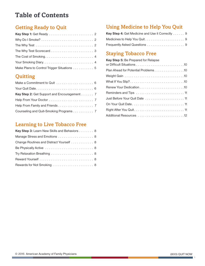#### **Table of Contents**

#### Getting Ready to Quit

| Make Plans to Control Trigger Situations 5 |
|--------------------------------------------|

#### **Quitting**

| Key Step 2: Get Support and Encouragement. 7 |
|----------------------------------------------|
|                                              |
|                                              |
| Counseling and Quit-Smoking Programs 7       |

#### Learning to Live Tobacco Free

| Key Step 3: Learn New Skills and Behaviors 8 |
|----------------------------------------------|
| Manage Stress and Emotions 8                 |
| Change Routines and Distract Yourself 8      |
|                                              |
|                                              |
|                                              |
|                                              |

#### Using Medicine to Help You Quit

| <b>Key Step 4: Get Medicine and Use it Correctly  9</b> |
|---------------------------------------------------------|
|                                                         |
|                                                         |

#### Staying Tobacco Free

| Key Step 5: Be Prepared for Relapse |
|-------------------------------------|
|                                     |
| Plan Ahead for Potential Problems10 |
|                                     |
|                                     |
|                                     |
|                                     |
| Just Before Your Quit Date  11      |
|                                     |
|                                     |
|                                     |

٦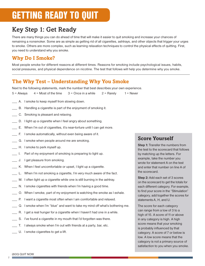## GETTING READY TO QUIT

#### Key Step 1: Get Ready

There are many things you can do ahead of time that will make it easier to quit smoking and increase your chances of remaining a nonsmoker. Some are as simple as getting rid of all cigarettes, ashtrays, and other objects that trigger your urges to smoke. Others are more complex, such as learning relaxation techniques to control the physical effects of quitting. First, you need to understand why you smoke.

#### **Why Do I Smoke?**

Most people smoke for different reasons at different times. Reasons for smoking include psychological issues, habits, social pressures, and physical dependence on nicotine. The test that follows will help you determine why you smoke.

#### **The Why Test – Understanding Why You Smoke**

Next to the following statements, mark the number that best describes your own experience.

 $5 =$  Always  $4 =$  Most of the time  $3 =$  Once in a while  $2 =$  Rarely  $1 =$  Never

- \_\_\_ A. I smoke to keep myself from slowing down.
- B. Handling a cigarette is part of the enjoyment of smoking it.
- \_\_\_ C. Smoking is pleasant and relaxing.
- D. I light up a cigarette when I feel angry about something.
- E. When I'm out of cigarettes, it's near-torture until I can get more.
- \_\_\_ F. I smoke automatically, without even being aware of it.
- \_\_\_ G. I smoke when people around me are smoking.
- \_\_\_ H. I smoke to perk myself up.
- \_\_\_ I. Part of my enjoyment of smoking is preparing to light up.
- J. I get pleasure from smoking.
- K. When I feel uncomfortable or upset, I light up a cigarette.
- \_\_\_ L. When I'm not smoking a cigarette, I'm very much aware of the fact.
- M. I often light up a cigarette while one is still burning in the ashtray.
- \_\_\_ N. I smoke cigarettes with friends when I'm having a good time.
- \_\_\_ O. When I smoke, part of my enjoyment is watching the smoke as I exhale.
- \_\_\_ P. I want a cigarette most often when I am comfortable and relaxed.
- \_\_\_ Q. I smoke when I'm "blue" and want to take my mind off what's bothering me.
- \_\_\_ R. I get a real hunger for a cigarette when I haven't had one in a while.
- S. I've found a cigarette in my mouth that I'd forgotten was there.
- \_\_\_ T. I always smoke when I'm out with friends at a party, bar, etc.
- \_\_\_ U. I smoke cigarettes to get a lift.

#### **Score Yourself**

**Step 1:** Transfer the numbers from the test to the scorecard that follows by matching up the letters. For example, take the number you wrote for statement A on the test and enter that number on line A of the scorecard.

**Step 2:** Add each set of 3 scores on the scorecard to get the totals for each different category. For example, to find your score in the "Stimulation" category, add together the scores for statements A, H, and U.

The score for each category can range from a low of 3 to a high of 15. A score of 11 or above in any category is high. A high score means that your smoking is probably influenced by that category. A score of 7 or below is low. A low score means that the category is not a primary source of satisfaction to you when you smoke.

 $\mathfrak{O}$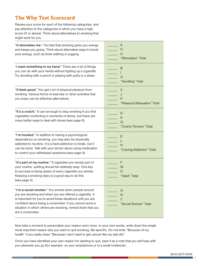#### **The Why Test Scorecard**

Review your score for each of the following categories, and pay attention to the categories in which you have a high score (11 or above). Think about alternatives to smoking that might work for you.

| "It stimulates me." You feel that smoking gives you energy<br>and keeps you going. Think about alternative ways to boost<br>your energy, such as brisk walking or jogging.                                                                                                                                                     | A<br>Н<br>U<br>"Stimulation" Total         |  |
|--------------------------------------------------------------------------------------------------------------------------------------------------------------------------------------------------------------------------------------------------------------------------------------------------------------------------------|--------------------------------------------|--|
| "I want something in my hand." There are a lot of things<br>you can do with your hands without lighting up a cigarette.<br>Try doodling with a pencil or playing with putty or a straw.                                                                                                                                        | B<br>L<br>$\circ$<br>"Handling" Total      |  |
| "It feels good." You get a lot of physical pleasure from<br>smoking. Various forms of exercise or other activities that<br>you enjoy can be effective alternatives.                                                                                                                                                            | C<br>J<br>P<br>"Pleasure/Relaxation" Total |  |
| "It's a crutch." It can be tough to stop smoking if you find<br>cigarettes comforting in moments of stress, but there are<br>many better ways to deal with stress (see page 8).                                                                                                                                                | D<br>Κ<br>Q<br>"Crutch/Tension" Total      |  |
| "I'm hooked." In addition to having a psychological<br>dependency on smoking, you may also be physically<br>addicted to nicotine. It is a hard addiction to break, but it<br>can be done. Talk with your doctor about using medication<br>to control your withdrawal symptoms (see page 9).                                    | Ε<br>L<br>R<br>"Craving/Addiction" Total   |  |
| "It's part of my routine." If cigarettes are merely part of<br>your routine, quitting should be relatively easy. One key<br>to success is being aware of every cigarette you smoke.<br>Keeping a smoking diary is a good way to do this<br>(see page 4).                                                                       | F<br>M<br>S<br>"Habit" Total               |  |
| "I'm a social smoker." You smoke when people around<br>you are smoking and when you are offered a cigarette. It<br>is important for you to avoid these situations until you are<br>confident about being a nonsmoker. If you cannot avoid a<br>situation in which others are smoking, remind them that you<br>are a nonsmoker. | G<br>N<br>Τ<br>"Social Smoker" Total       |  |

Now take a moment to personalize your reason even more. In your own words, write down the single most important reason why you want to quit smoking. Be specific. Do not write "Because of my health" if you really mean "Because I don't want to get cancer like my dad did."

Once you have identified your own reason for wanting to quit, save it as a note that you will have with you wherever you go (for example, on your smartphone or in a small notebook).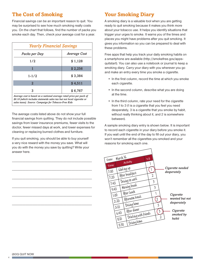#### **The Cost of Smoking**

Financial savings can be an important reason to quit. You may be surprised to see how much smoking really costs you. On the chart that follows, find the number of packs you smoke each day. Then, check your average cost for a year.

| <b>Yearly Financial Savings</b>                                                                                                                                                                       |                     |
|-------------------------------------------------------------------------------------------------------------------------------------------------------------------------------------------------------|---------------------|
| Packs per Day                                                                                                                                                                                         | <b>Average Cost</b> |
| 1/2                                                                                                                                                                                                   | \$1,128             |
|                                                                                                                                                                                                       | \$2,256             |
| $1 - 1/2$                                                                                                                                                                                             | \$3,384             |
| $\mathbf{2}$                                                                                                                                                                                          | \$4,511             |
| 3                                                                                                                                                                                                     | \$6,767             |
| Average cost is based on a national average retail price per pack of<br>\$6.18 (which includes statewide sales tax but not local cigarette or<br>sales taxes). Source: Campaign for Tobacco-Free Kids |                     |

The average costs listed above do not show your full financial savings from quitting. They do not include possible savings from lower insurance premiums, fewer visits to the doctor, fewer missed days at work, and lower expenses for cleaning or replacing burned clothes and furniture.

If you quit smoking, you should be able to buy yourself a very nice reward with the money you save. What will you do with the money you save by quitting? Write your answer here.

\_\_\_\_\_\_\_\_\_\_\_\_\_\_\_\_\_\_\_\_\_\_\_\_\_\_\_\_\_\_\_\_\_\_\_\_\_\_\_\_\_\_\_\_\_\_\_

\_\_\_\_\_\_\_\_\_\_\_\_\_\_\_\_\_\_\_\_\_\_\_\_\_\_\_\_\_\_\_\_\_\_\_\_\_\_\_\_\_\_\_\_\_\_\_

\_\_\_\_\_\_\_\_\_\_\_\_\_\_\_\_\_\_\_\_\_\_\_\_\_\_\_\_\_\_\_\_\_\_\_\_\_\_\_\_\_\_\_\_\_\_\_

\_\_\_\_\_\_\_\_\_\_\_\_\_\_\_\_\_\_\_\_\_\_\_\_\_\_\_\_\_\_\_\_\_\_\_\_\_\_\_\_\_\_\_\_\_\_\_

\_\_\_\_\_\_\_\_\_\_\_\_\_\_\_\_\_\_\_\_\_\_\_\_\_\_\_\_\_\_\_\_\_\_\_\_\_\_\_\_\_\_\_\_\_\_\_

\_\_\_\_\_\_\_\_\_\_\_\_\_\_\_\_\_\_\_\_\_\_\_\_\_\_\_\_\_\_\_\_\_\_\_\_\_\_\_\_\_\_\_\_\_\_\_

#### **Your Smoking Diary**

A smoking diary is a valuable tool when you are getting ready to quit smoking because it makes you think more about your tobacco use. It helps you identify situations that trigger your urges to smoke. It warns you of the times and places you might have problems after you quit smoking. It gives you information so you can be prepared to deal with these problems.

Free apps that help you track your daily smoking habits on a smartphone are available (http://smokefree.gov/appsquitstart). You can also use a notebook or journal to keep a smoking diary. Carry your diary with you wherever you go and make an entry every time you smoke a cigarette.

- In the first column, record the time at which you smoke each cigarette.
- In the second column, describe what you are doing at the time.
- In the third column, rate your need for the cigarette from 1 to 3 (1 is a cigarette that you feel you need desperately, 3 is a cigarette that you smoke by habit, without really thinking about it, and 2 is somewhere between).

A sample smoking diary entry is shown below. It is important to record each cigarette in your diary before you smoke it. If you wait until the end of the day to fill out your diary, you won't remember all the cigarettes you smoked and your reasons for smoking each one.

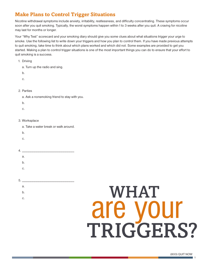#### **Make Plans to Control Trigger Situations**

Nicotine withdrawal symptoms include anxiety, irritability, restlessness, and difficulty concentrating. These symptoms occur soon after you quit smoking. Typically, the worst symptoms happen within 1 to 3 weeks after you quit. A craving for nicotine may last for months or longer.

Your "Why Test" scorecard and your smoking diary should give you some clues about what situations trigger your urge to smoke. Use the following list to write down your triggers and how you plan to control them. If you have made previous attempts to quit smoking, take time to think about which plans worked and which did not. Some examples are provided to get you started. Making a plan to control trigger situations is one of the most important things you can do to ensure that your effort to quit smoking is a success.

1. Driving

- a. Turn up the radio and sing.
- b.

c.

- 2. Parties
	- a. Ask a nonsmoking friend to stay with you.
	- b.
	- c.
- 3. Worksplace
	- a. Take a water break or walk around.
	- b.
	- c.
- 4. \_\_\_\_\_\_\_\_\_\_\_\_\_\_\_\_\_\_\_\_\_\_\_\_\_\_\_
	- a.
	- b.
	- c.
	-

5. \_\_\_\_\_\_\_\_\_\_\_\_\_\_\_\_\_\_\_\_\_\_\_\_\_\_\_

- a.
- b.
- 

# **c.** WHAT are your TRIGGERS?

(800) QUIT NOW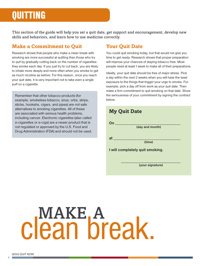## QUITTING

This section of the guide will help you set a quit date, get support and encouragement, develop new skills and behaviors, and learn how to use medicine correctly.

#### **Make a Commitment to Quit**

Research shows that people who make a clean break with smoking are more successful at quitting than those who try to quit by gradually cutting back on the number of cigarettes they smoke each day. If you just try to cut back, you are likely to inhale more deeply and more often when you smoke to get as much nicotine as before. For this reason, once you reach your quit date, it is very important not to take even a single puff on a cigarette.

Remember that other tobacco products (for example, smokeless tobacco, snus, orbs, strips, sticks, hookahs, cigars, and pipes) are not safe alternatives to smoking cigarettes. All of these are associated with serious health problems, including cancer. Electronic cigarettes (also called e-cigarettes or e-cigs) are a newer product that is not regulated or approved by the U.S. Food and Drug Administration (FDA) and should not be used.

#### **Your Quit Date**

You could quit smoking today, but that would not give you time to get ready. Research shows that proper preparation will improve your chances of staying tobacco free. Most people need at least 1 week to make all of their preparations.

Ideally, your quit date should be free of major stress. Pick a day within the next 2 weeks when you will have the least exposure to the things that trigger your urge to smoke. For example, pick a day off from work as your quit date. Then make a firm commitment to quit smoking on that date. Show the seriousness of your commitment by signing the contract below.

| <b>My Quit Date</b>                                        |
|------------------------------------------------------------|
| On $\overline{\phantom{a} \phantom{a}}$<br>(day and month) |
| at a<br>(time)                                             |
| I will completely quit smoking.                            |
| (your signature)                                           |

# MAKE, A clean break.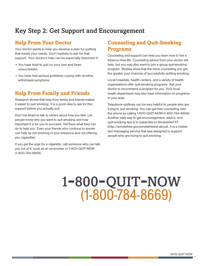#### Key Step 2: Get Support and Encouragement

#### **Help From Your Doctor**

Your doctor wants to help you develop a plan for quitting that meets your needs. Don't hesitate to ask for that support. Your doctor's help can be especially important if:

- You have tried to quit on your own and been unsuccessful.
- You have had serious problems coping with nicotine withdrawal symptoms.

#### **Help From Family and Friends**

Research shows that help from family and friends makes it easier to quit smoking. It is a good idea to ask for this support before you actually quit.

Don't be afraid to talk to others about how you feel. Let people know why you want to quit smoking and how important it is for you to succeed. Tell them what they can do to help you. Even your friends who continue to smoke can help by not smoking in your presence and not offering you cigarettes.

If you get the urge for a cigarette, call someone who can talk you out of it, such as an ex-smoker or 1-800-QUIT-NOW (1-800-784-8669).

#### **Counseling and Quit-Smoking Programs**

Counseling and support can help you learn how to live a tobacco-free life. Counseling advice from your doctor will help, but you may also want to join a group quit-smoking program. Studies show that the more counseling you get, the greater your chances of successfully quitting smoking.

Local hospitals, health centers, and a variety of health organizations offer quit-smoking programs. Ask your doctor to recommend a program for you. Your local health department may also have information on programs in your area.

Telephone quitlines can be very helpful to people who are trying to quit smoking. You can get free counseling over the phone by calling 1-800-QUIT-NOW (1-800-784-8669). Another easy way to get encouragement, advice, and quit-smoking tips is to subscribe to SmokefreeTXT (http://smokefree.gov/smokefreetxt-about). It is a mobile text messaging service that was designed to support people who are trying to quit smoking.

# 1-800-quit-now (1-800-784-8669)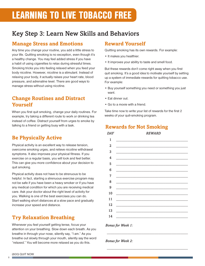## LEARNING TO LIVE TOBACCO FREE

#### Key Step 3: Learn New Skills and Behaviors

#### **Manage Stress and Emotions**

Any time you change your routine, you add a little stress to your life. Quitting smoking is no exception, even though it's a healthy change. You may feel added stress if you have a habit of using cigarettes to relax during stressful times. Smoking tricks you into feeling relaxed when you feed your body nicotine. However, nicotine is a stimulant. Instead of relaxing your body, it actually raises your heart rate, blood pressure, and adrenaline level. There are good ways to manage stress without using nicotine.

#### **Change Routines and Distract Yourself**

When you first quit smoking, change your daily routines. For example, try taking a different route to work or drinking tea instead of coffee. Distract yourself from urges to smoke by talking to a friend or getting busy with a task.

#### **Be Physically Active**

Physical activity is an excellent way to release tension, overcome smoking urges, and relieve nicotine withdrawal symptoms. It also improves your physical fitness. If you exercise on a regular basis, you will look and feel better. This can give you more confidence about your decision to quit smoking.

Physical activity does not have to be strenuous to be helpful. In fact, starting a strenuous exercise program may not be safe if you have been a heavy smoker or if you have any medical condition for which you are receiving medical care. Ask your doctor about the right level of activity for you. Walking is one of the best exercises you can do. Start walking short distances at a slow pace and gradually increase your speed and distance.

#### **Try Relaxation Breathing**

Whenever you feel yourself getting tense, focus your attention on your breathing. Slow down each breath. As you breathe in through your nose, silently say, "I am." As you breathe out slowly through your mouth, silently say the word "relaxed." You will become more relaxed as you do this.

#### **Reward Yourself**

Quitting smoking has its own rewards. For example:

- It makes you healthier.
- It improves your ability to taste and smell food.

But these rewards don't come right away when you first quit smoking. It's a good idea to motivate yourself by setting up a system of immediate rewards for quitting tobacco use. For example:

- Buy yourself something you need or something you just want.
- Eat dinner out.
- Go to a movie with a friend.

Take time now to write your list of rewards for the first 2 weeks of your quit-smoking program.

#### **Rewards for Not Smoking**

| <b>DAY</b>     | <b>REWARD</b> |
|----------------|---------------|
| 1              |               |
| $\overline{2}$ |               |
| 3              |               |
| 4              |               |
| 5              |               |
| 6              |               |
| 7              |               |
| 8              |               |
| 9              |               |
| 10             |               |
| 11             |               |
| 12             |               |
| 13             |               |
| 14             |               |

*\_\_\_\_\_\_\_\_\_\_\_\_\_\_\_\_\_\_\_\_\_\_\_\_\_\_\_\_\_\_\_\_\_\_\_\_\_\_\_\_\_\_\_\_*

*\_\_\_\_\_\_\_\_\_\_\_\_\_\_\_\_\_\_\_\_\_\_\_\_\_\_\_\_\_\_\_\_\_\_\_\_\_\_\_\_\_\_\_\_*

*Bonus for Week 1:*

*Bonus for Week 2:*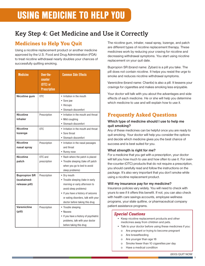#### Key Step 4: Get Medicine and Use it Correctly

#### **Medicines to Help You Quit**

Using a nicotine replacement product or another medicine approved by the U.S. Food and Drug Administration (FDA) to treat nicotine withdrawal nearly doubles your chances of successfully quitting smoking.

| <b>Medicine</b>                                     | Over-the-<br>counter<br>$(0TC)$ or<br><b>Prescription</b> | <b>Common Side Effects</b>                                                                                                                                                                                                 |
|-----------------------------------------------------|-----------------------------------------------------------|----------------------------------------------------------------------------------------------------------------------------------------------------------------------------------------------------------------------------|
| Nicotine gum                                        | OTC                                                       | • Irritation in the mouth<br>• Sore jaw<br>• Hiccups<br>• Stomach discomfort                                                                                                                                               |
| Nicotine<br>inhaler                                 | Prescription                                              | • Irritation in the mouth and throat<br>• Mild coughing<br>• Stomach discomfort                                                                                                                                            |
| <b>Nicotine</b><br>lozenge                          | 0T <sub>C</sub>                                           | • Irritation in the mouth and throat<br>• Sore throat<br>• Stomach discomfort                                                                                                                                              |
| <b>Nicotine</b><br>nasal spray                      | Prescription                                              | • Irritation in the nasal passages<br>and throat<br>• Runny nose                                                                                                                                                           |
| <b>Nicotine</b><br>patch                            | OTC and<br>prescription                                   | • Rash where the patch is placed<br>• Trouble sleeping (take off patch<br>when you go to bed to avoid<br>sleep problems)                                                                                                   |
| <b>Bupropion SR</b><br>(sustained-<br>release pill) | Prescription                                              | • Dry mouth<br>• Trouble sleeping (take in early<br>morning or early afternoon to<br>avoid sleep problems)<br>• If you have a history of seizures<br>or eating disorders, talk with your<br>doctor before taking this drug |
| Varenicline<br>(pill)                               | Prescription                                              | • Trouble sleeping<br>• Nausea<br>• If you have a history of psychiatric<br>problems, talk with your doctor<br>before taking this drug                                                                                     |

The nicotine gum, inhaler, nasal spray, lozenge, and patch are different types of nicotine replacement therapy. These medicines work by reducing your craving for nicotine and decreasing withdrawal symptoms. You start using nicotine replacement on your quit date.

Bupropion SR (brand name: Zyban) is a pill you take. The pill does not contain nicotine. It helps you resist the urge to smoke and reduces nicotine withdrawal symptoms.

Varenicline (brand name: Chantix) is also a pill. It lessens your cravings for cigarettes and makes smoking less enjoyable.

Your doctor will talk with you about the advantages and side effects of each medicine. He or she will help you determine which medicine to use and will explain how to use it.

#### **Frequently Asked Questions**

#### **Which type of medicine should I use to help me quit smoking?**

Any of these medicines can be helpful once you are ready to quit smoking. Your doctor will help you consider the options and decide which medicine gives you the best chance of success and is best suited for you.

#### **What strength is right for me?**

For a medicine that you get with a prescription, your doctor will tell you how much to use and how often to use it. For overthe-counter (OTC) products that do not require a prescription, you should carefully read and follow the instructions on the package. It's also very important that you don't smoke while using a nicotine replacement product.

#### **Will my insurance pay for my medicine?**

Insurance policies vary widely. You will need to check with yours to see if it offers this benefit. If not, you can also check with health care savings accounts, employee wellness programs, your state quitline, or pharmaceutical company patient assistance programs.

#### *Special Cautions*

- Keep nicotine replacement products and other medicines away from children and pets.
- Talk to your doctor before using these medicines if you: o Are pregnant or trying to become pregnant
	- o Are breastfeeding
	- o Are younger than age 18
	- o Smoke fewer than 10 cigarettes per day
	- o Have a medical condition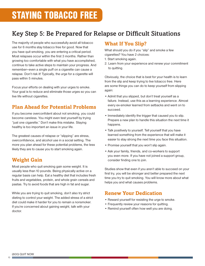#### Key Step 5: Be Prepared for Relapse or Difficult Situations

The majority of people who successfully avoid all tobacco use for 6 months stay tobacco free for good. Now that you have quit smoking, you are entering a critical period. Most relapses occur within the first 3 months. Rather than growing too comfortable with what you have accomplished, continue to take active steps to maintain your progress. And remember—even a single puff on a cigarette can cause a relapse. Don't risk it! Typically, the urge for a cigarette will pass within 5 minutes.

Focus your efforts on dealing with your urges to smoke. Your goal is to reduce and eliminate those urges so you can live life without cigarettes.

#### **Plan Ahead for Potential Problems**

If you become overconfident about not smoking, you could become careless. You might even test yourself by trying "just one cigarette." Don't make this mistake. Staying healthy is too important an issue in your life.

The greatest causes of relapse or "slipping" are stress, overconfidence, and alcohol use in a social setting. The more you plan ahead for these potential problems, the less likely they are to cause you to start smoking again.

#### **Weight Gain**

Most people who quit smoking gain some weight. It is usually less than 10 pounds. Being physically active on a regular basis can help. Eat a healthy diet that includes fresh fruits and vegetables, protein, and whole grain cereals and pastas. Try to avoid foods that are high in fat and sugar.

While you are trying to quit smoking, don't also try strict dieting to control your weight. The added stress of a strict diet could make it harder for you to remain a nonsmoker. If you're concerned about gaining weight, talk with your doctor.

#### **What If You Slip?**

What should you do if you "slip" and smoke a few cigarettes? You have 2 choices:

- 1. Start smoking again.
- 2. Learn from your experience and renew your commitment to quitting.

Obviously, the choice that is best for your health is to learn from the slip and keep trying to live tobacco free. Here are some things you can do to keep yourself from slipping again:

- Admit that you slipped, but don't treat yourself as a failure. Instead, use this as a learning experience. Almost every ex-smoker learned from setbacks and went on to succeed.
- Immediately identify the trigger that caused you to slip. Prepare a new plan to handle this situation the next time it happens.
- Talk positively to yourself. Tell yourself that you have learned something from the experience that will make it easier to stay strong the next time you face this situation.
- Promise yourself that you won't slip again.
- Ask your family, friends, and co-workers to support you even more. If you have not joined a support group, consider finding one to join.

Studies show that even if you aren't able to succeed on your first try, you will be stronger and better prepared the next time you try to quit smoking. You will know more about what helps you and what causes problems.

#### **Renew Your Dedication**

- Reward yourself for resisting the urge to smoke.
- Frequently review your reasons for quitting.
- Remind yourself often how well you are doing.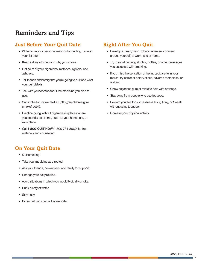#### Reminders and Tips

#### **Just Before Your Quit Date**

- Write down your personal reasons for quitting. Look at your list often.
- Keep a diary of when and why you smoke.
- Get rid of all your cigarettes, matches, lighters, and ashtrays.
- Tell friends and family that you're going to quit and what your quit date is.
- Talk with your doctor about the medicine you plan to use.
- Subscribe to SmokefreeTXT (http://smokefree.gov/ smokefreetxt).
- Practice going without cigarettes in places where you spend a lot of time, such as your home, car, or workplace.
- Call **1-800-QUIT-NOW** (1-800-784-8669) for free materials and counseling.

#### **On Your Quit Date**

- Quit smoking!
- Take your medicine as directed.
- Ask your friends, co-workers, and family for support.
- Change your daily routine.
- Avoid situations in which you would typically smoke.
- Drink plenty of water.
- Stay busy.
- Do something special to celebrate.

#### **Right After You Quit**

- Develop a clean, fresh, tobacco-free environment around yourself, at work, and at home.
- Try to avoid drinking alcohol, coffee, or other beverages you associate with smoking.
- If you miss the sensation of having a cigarette in your mouth, try carrot or celery sticks, flavored toothpicks, or a straw.
- Chew sugarless gum or mints to help with cravings.
- Stay away from people who use tobacco.
- Reward yourself for successes—1 hour, 1 day, or 1 week without using tobacco.
- Increase your physical activity.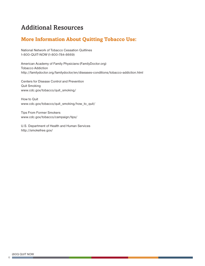#### Additional Resources

#### **More Information About Quitting Tobacco Use:**

National Network of Tobacco Cessation Quitlines 1-800-QUIT-NOW (1-800-784-8669)

American Academy of Family Physicians (FamilyDoctor.org) Tobacco Addiction http://familydoctor.org/familydoctor/en/diseases-conditions/tobacco-addiction.html

Centers for Disease Control and Prevention Quit Smoking www.cdc.gov/tobacco/quit\_smoking/

How to Quit www.cdc.gov/tobacco/quit\_smoking/how\_to\_quit/

Tips From Former Smokers www.cdc.gov/tobacco/campaign/tips/

U.S. Department of Health and Human Services http://smokefree.gov/